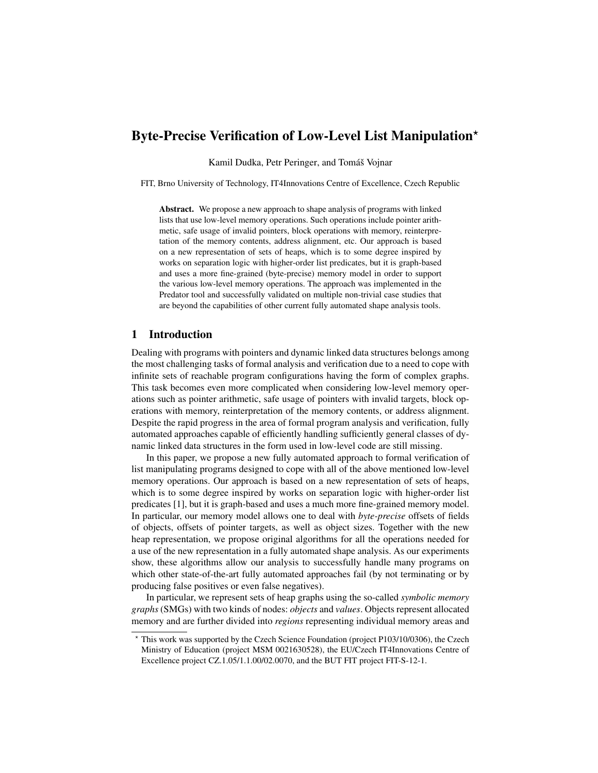# Byte-Precise Verification of Low-Level List Manipulation<sup>\*</sup>

Kamil Dudka, Petr Peringer, and Tomáš Vojnar

FIT, Brno University of Technology, IT4Innovations Centre of Excellence, Czech Republic

Abstract. We propose a new approach to shape analysis of programs with linked lists that use low-level memory operations. Such operations include pointer arithmetic, safe usage of invalid pointers, block operations with memory, reinterpretation of the memory contents, address alignment, etc. Our approach is based on a new representation of sets of heaps, which is to some degree inspired by works on separation logic with higher-order list predicates, but it is graph-based and uses a more fine-grained (byte-precise) memory model in order to support the various low-level memory operations. The approach was implemented in the Predator tool and successfully validated on multiple non-trivial case studies that are beyond the capabilities of other current fully automated shape analysis tools.

## 1 Introduction

Dealing with programs with pointers and dynamic linked data structures belongs among the most challenging tasks of formal analysis and verification due to a need to cope with infinite sets of reachable program configurations having the form of complex graphs. This task becomes even more complicated when considering low-level memory operations such as pointer arithmetic, safe usage of pointers with invalid targets, block operations with memory, reinterpretation of the memory contents, or address alignment. Despite the rapid progress in the area of formal program analysis and verification, fully automated approaches capable of efficiently handling sufficiently general classes of dynamic linked data structures in the form used in low-level code are still missing.

In this paper, we propose a new fully automated approach to formal verification of list manipulating programs designed to cope with all of the above mentioned low-level memory operations. Our approach is based on a new representation of sets of heaps, which is to some degree inspired by works on separation logic with higher-order list predicates [1], but it is graph-based and uses a much more fine-grained memory model. In particular, our memory model allows one to deal with *byte-precise* offsets of fields of objects, offsets of pointer targets, as well as object sizes. Together with the new heap representation, we propose original algorithms for all the operations needed for a use of the new representation in a fully automated shape analysis. As our experiments show, these algorithms allow our analysis to successfully handle many programs on which other state-of-the-art fully automated approaches fail (by not terminating or by producing false positives or even false negatives).

In particular, we represent sets of heap graphs using the so-called *symbolic memory graphs* (SMGs) with two kinds of nodes: *objects* and *values*. Objects represent allocated memory and are further divided into *regions* representing individual memory areas and

<sup>?</sup> This work was supported by the Czech Science Foundation (project P103/10/0306), the Czech Ministry of Education (project MSM 0021630528), the EU/Czech IT4Innovations Centre of Excellence project CZ.1.05/1.1.00/02.0070, and the BUT FIT project FIT-S-12-1.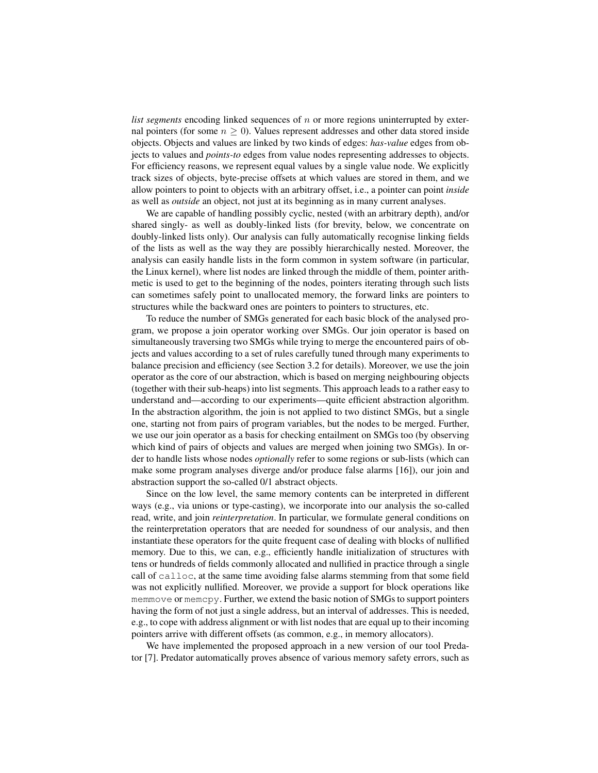*list segments* encoding linked sequences of n or more regions uninterrupted by external pointers (for some  $n \geq 0$ ). Values represent addresses and other data stored inside objects. Objects and values are linked by two kinds of edges: *has-value* edges from objects to values and *points-to* edges from value nodes representing addresses to objects. For efficiency reasons, we represent equal values by a single value node. We explicitly track sizes of objects, byte-precise offsets at which values are stored in them, and we allow pointers to point to objects with an arbitrary offset, i.e., a pointer can point *inside* as well as *outside* an object, not just at its beginning as in many current analyses.

We are capable of handling possibly cyclic, nested (with an arbitrary depth), and/or shared singly- as well as doubly-linked lists (for brevity, below, we concentrate on doubly-linked lists only). Our analysis can fully automatically recognise linking fields of the lists as well as the way they are possibly hierarchically nested. Moreover, the analysis can easily handle lists in the form common in system software (in particular, the Linux kernel), where list nodes are linked through the middle of them, pointer arithmetic is used to get to the beginning of the nodes, pointers iterating through such lists can sometimes safely point to unallocated memory, the forward links are pointers to structures while the backward ones are pointers to pointers to structures, etc.

To reduce the number of SMGs generated for each basic block of the analysed program, we propose a join operator working over SMGs. Our join operator is based on simultaneously traversing two SMGs while trying to merge the encountered pairs of objects and values according to a set of rules carefully tuned through many experiments to balance precision and efficiency (see Section 3.2 for details). Moreover, we use the join operator as the core of our abstraction, which is based on merging neighbouring objects (together with their sub-heaps) into list segments. This approach leads to a rather easy to understand and—according to our experiments—quite efficient abstraction algorithm. In the abstraction algorithm, the join is not applied to two distinct SMGs, but a single one, starting not from pairs of program variables, but the nodes to be merged. Further, we use our join operator as a basis for checking entailment on SMGs too (by observing which kind of pairs of objects and values are merged when joining two SMGs). In order to handle lists whose nodes *optionally* refer to some regions or sub-lists (which can make some program analyses diverge and/or produce false alarms [16]), our join and abstraction support the so-called 0/1 abstract objects.

Since on the low level, the same memory contents can be interpreted in different ways (e.g., via unions or type-casting), we incorporate into our analysis the so-called read, write, and join *reinterpretation*. In particular, we formulate general conditions on the reinterpretation operators that are needed for soundness of our analysis, and then instantiate these operators for the quite frequent case of dealing with blocks of nullified memory. Due to this, we can, e.g., efficiently handle initialization of structures with tens or hundreds of fields commonly allocated and nullified in practice through a single call of calloc, at the same time avoiding false alarms stemming from that some field was not explicitly nullified. Moreover, we provide a support for block operations like memmove or memcpy. Further, we extend the basic notion of SMGs to support pointers having the form of not just a single address, but an interval of addresses. This is needed, e.g., to cope with address alignment or with list nodes that are equal up to their incoming pointers arrive with different offsets (as common, e.g., in memory allocators).

We have implemented the proposed approach in a new version of our tool Predator [7]. Predator automatically proves absence of various memory safety errors, such as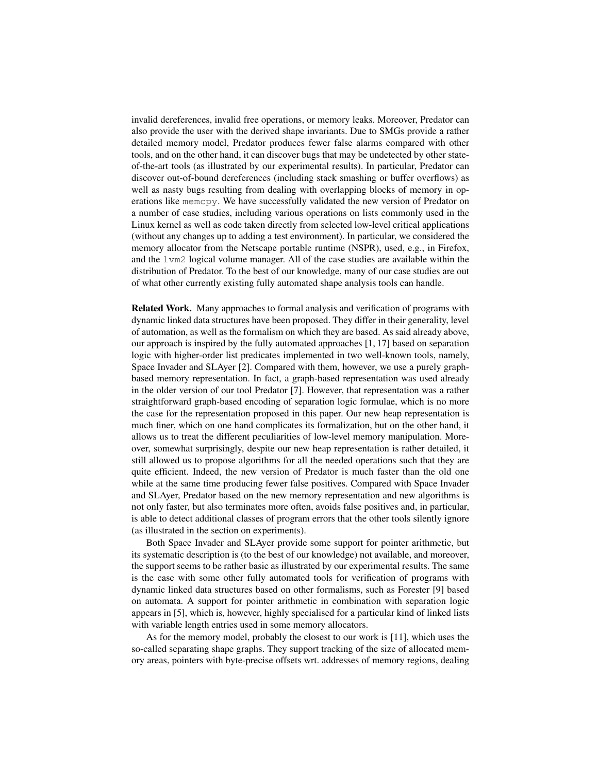invalid dereferences, invalid free operations, or memory leaks. Moreover, Predator can also provide the user with the derived shape invariants. Due to SMGs provide a rather detailed memory model, Predator produces fewer false alarms compared with other tools, and on the other hand, it can discover bugs that may be undetected by other stateof-the-art tools (as illustrated by our experimental results). In particular, Predator can discover out-of-bound dereferences (including stack smashing or buffer overflows) as well as nasty bugs resulting from dealing with overlapping blocks of memory in operations like memcpy. We have successfully validated the new version of Predator on a number of case studies, including various operations on lists commonly used in the Linux kernel as well as code taken directly from selected low-level critical applications (without any changes up to adding a test environment). In particular, we considered the memory allocator from the Netscape portable runtime (NSPR), used, e.g., in Firefox, and the lvm2 logical volume manager. All of the case studies are available within the distribution of Predator. To the best of our knowledge, many of our case studies are out of what other currently existing fully automated shape analysis tools can handle.

Related Work. Many approaches to formal analysis and verification of programs with dynamic linked data structures have been proposed. They differ in their generality, level of automation, as well as the formalism on which they are based. As said already above, our approach is inspired by the fully automated approaches [1, 17] based on separation logic with higher-order list predicates implemented in two well-known tools, namely, Space Invader and SLAyer [2]. Compared with them, however, we use a purely graphbased memory representation. In fact, a graph-based representation was used already in the older version of our tool Predator [7]. However, that representation was a rather straightforward graph-based encoding of separation logic formulae, which is no more the case for the representation proposed in this paper. Our new heap representation is much finer, which on one hand complicates its formalization, but on the other hand, it allows us to treat the different peculiarities of low-level memory manipulation. Moreover, somewhat surprisingly, despite our new heap representation is rather detailed, it still allowed us to propose algorithms for all the needed operations such that they are quite efficient. Indeed, the new version of Predator is much faster than the old one while at the same time producing fewer false positives. Compared with Space Invader and SLAyer, Predator based on the new memory representation and new algorithms is not only faster, but also terminates more often, avoids false positives and, in particular, is able to detect additional classes of program errors that the other tools silently ignore (as illustrated in the section on experiments).

Both Space Invader and SLAyer provide some support for pointer arithmetic, but its systematic description is (to the best of our knowledge) not available, and moreover, the support seems to be rather basic as illustrated by our experimental results. The same is the case with some other fully automated tools for verification of programs with dynamic linked data structures based on other formalisms, such as Forester [9] based on automata. A support for pointer arithmetic in combination with separation logic appears in [5], which is, however, highly specialised for a particular kind of linked lists with variable length entries used in some memory allocators.

As for the memory model, probably the closest to our work is [11], which uses the so-called separating shape graphs. They support tracking of the size of allocated memory areas, pointers with byte-precise offsets wrt. addresses of memory regions, dealing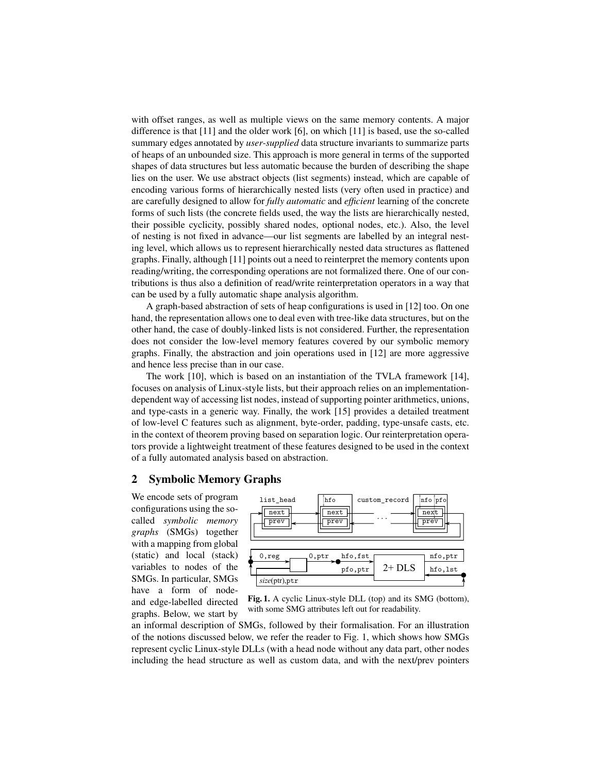with offset ranges, as well as multiple views on the same memory contents. A major difference is that [11] and the older work [6], on which [11] is based, use the so-called summary edges annotated by *user-supplied* data structure invariants to summarize parts of heaps of an unbounded size. This approach is more general in terms of the supported shapes of data structures but less automatic because the burden of describing the shape lies on the user. We use abstract objects (list segments) instead, which are capable of encoding various forms of hierarchically nested lists (very often used in practice) and are carefully designed to allow for *fully automatic* and *efficient* learning of the concrete forms of such lists (the concrete fields used, the way the lists are hierarchically nested, their possible cyclicity, possibly shared nodes, optional nodes, etc.). Also, the level of nesting is not fixed in advance—our list segments are labelled by an integral nesting level, which allows us to represent hierarchically nested data structures as flattened graphs. Finally, although [11] points out a need to reinterpret the memory contents upon reading/writing, the corresponding operations are not formalized there. One of our contributions is thus also a definition of read/write reinterpretation operators in a way that can be used by a fully automatic shape analysis algorithm.

A graph-based abstraction of sets of heap configurations is used in [12] too. On one hand, the representation allows one to deal even with tree-like data structures, but on the other hand, the case of doubly-linked lists is not considered. Further, the representation does not consider the low-level memory features covered by our symbolic memory graphs. Finally, the abstraction and join operations used in [12] are more aggressive and hence less precise than in our case.

The work [10], which is based on an instantiation of the TVLA framework [14], focuses on analysis of Linux-style lists, but their approach relies on an implementationdependent way of accessing list nodes, instead of supporting pointer arithmetics, unions, and type-casts in a generic way. Finally, the work [15] provides a detailed treatment of low-level C features such as alignment, byte-order, padding, type-unsafe casts, etc. in the context of theorem proving based on separation logic. Our reinterpretation operators provide a lightweight treatment of these features designed to be used in the context of a fully automated analysis based on abstraction.

## 2 Symbolic Memory Graphs

We encode sets of program configurations using the socalled *symbolic memory graphs* (SMGs) together with a mapping from global (static) and local (stack) variables to nodes of the SMGs. In particular, SMGs have a form of nodeand edge-labelled directed graphs. Below, we start by



Fig. 1. A cyclic Linux-style DLL (top) and its SMG (bottom), with some SMG attributes left out for readability.

an informal description of SMGs, followed by their formalisation. For an illustration of the notions discussed below, we refer the reader to Fig. 1, which shows how SMGs represent cyclic Linux-style DLLs (with a head node without any data part, other nodes including the head structure as well as custom data, and with the next/prev pointers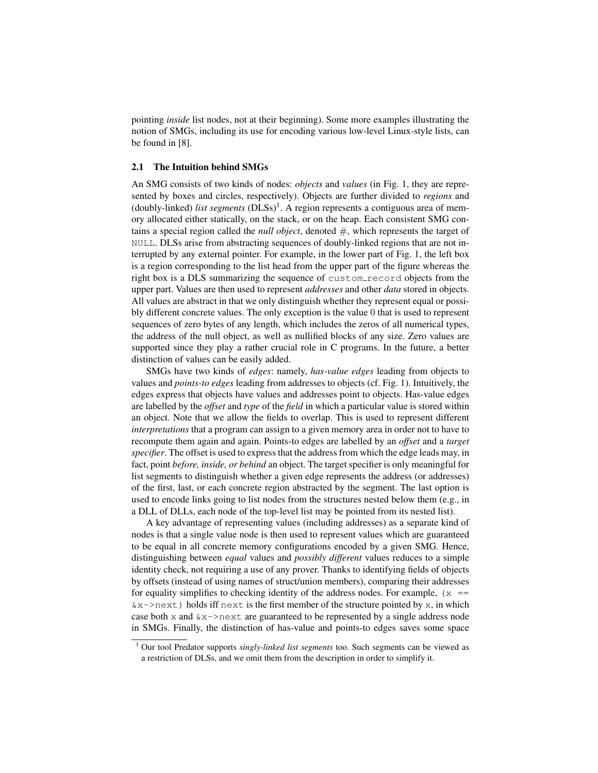pointing *inside* list nodes, not at their beginning). Some more examples illustrating the notion of SMGs, including its use for encoding various low-level Linux-style lists, can be found in [8].

#### 2.1 The Intuition behind SMGs

An SMG consists of two kinds of nodes: *objects* and *values* (in Fig. 1, they are represented by boxes and circles, respectively). Objects are further divided to *regions* and (doubly-linked) *list segments* (DLSs)<sup>1</sup>. A region represents a contiguous area of memory allocated either statically, on the stack, or on the heap. Each consistent SMG contains a special region called the *null object*, denoted  $#$ , which represents the target of NULL. DLSs arise from abstracting sequences of doubly-linked regions that are not interrupted by any external pointer. For example, in the lower part of Fig. 1, the left box is a region corresponding to the list head from the upper part of the figure whereas the right box is a DLS summarizing the sequence of custom record objects from the upper part. Values are then used to represent *addresses* and other *data* stored in objects. All values are abstract in that we only distinguish whether they represent equal or possibly different concrete values. The only exception is the value 0 that is used to represent sequences of zero bytes of any length, which includes the zeros of all numerical types, the address of the null object, as well as nullified blocks of any size. Zero values are supported since they play a rather crucial role in C programs. In the future, a better distinction of values can be easily added.

SMGs have two kinds of *edges*: namely, *has-value edges* leading from objects to values and *points-to edges* leading from addresses to objects (cf. Fig. 1). Intuitively, the edges express that objects have values and addresses point to objects. Has-value edges are labelled by the *offset* and *type* of the *field* in which a particular value is stored within an object. Note that we allow the fields to overlap. This is used to represent different *interpretations* that a program can assign to a given memory area in order not to have to recompute them again and again. Points-to edges are labelled by an *offset* and a *target specifier*. The offset is used to express that the address from which the edge leads may, in fact, point *before, inside, or behind* an object. The target specifier is only meaningful for list segments to distinguish whether a given edge represents the address (or addresses) of the first, last, or each concrete region abstracted by the segment. The last option is used to encode links going to list nodes from the structures nested below them (e.g., in a DLL of DLLs, each node of the top-level list may be pointed from its nested list).

A key advantage of representing values (including addresses) as a separate kind of nodes is that a single value node is then used to represent values which are guaranteed to be equal in all concrete memory configurations encoded by a given SMG. Hence, distinguishing between *equal* values and *possibly different* values reduces to a simple identity check, not requiring a use of any prover. Thanks to identifying fields of objects by offsets (instead of using names of struct/union members), comparing their addresses for equality simplifies to checking identity of the address nodes. For example,  $(x ==$  $&x$  >next) holds iff next is the first member of the structure pointed by x, in which case both x and  $&x$ ->next are guaranteed to be represented by a single address node in SMGs. Finally, the distinction of has-value and points-to edges saves some space

<sup>&</sup>lt;sup>1</sup> Our tool Predator supports *singly-linked list segments* too. Such segments can be viewed as a restriction of DLSs, and we omit them from the description in order to simplify it.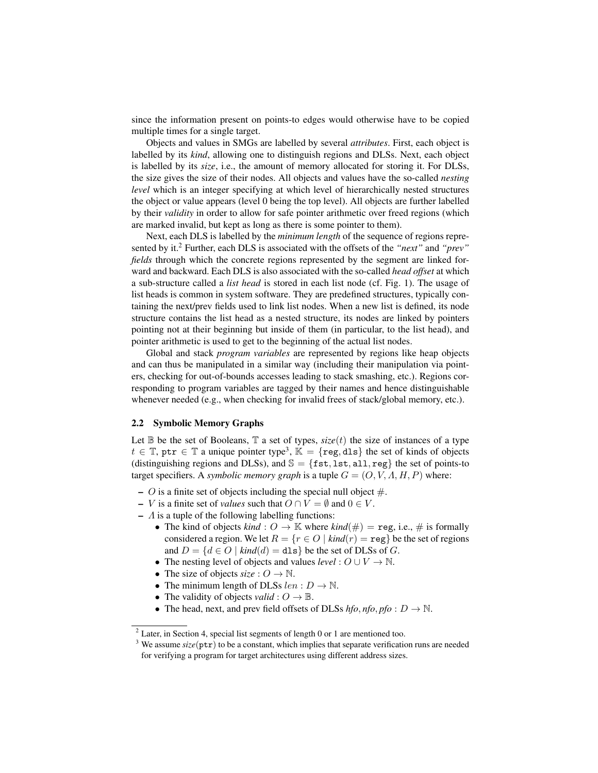since the information present on points-to edges would otherwise have to be copied multiple times for a single target.

Objects and values in SMGs are labelled by several *attributes*. First, each object is labelled by its *kind*, allowing one to distinguish regions and DLSs. Next, each object is labelled by its *size*, i.e., the amount of memory allocated for storing it. For DLSs, the size gives the size of their nodes. All objects and values have the so-called *nesting level* which is an integer specifying at which level of hierarchically nested structures the object or value appears (level 0 being the top level). All objects are further labelled by their *validity* in order to allow for safe pointer arithmetic over freed regions (which are marked invalid, but kept as long as there is some pointer to them).

Next, each DLS is labelled by the *minimum length* of the sequence of regions represented by it.<sup>2</sup> Further, each DLS is associated with the offsets of the *"next"* and *"prev" fields* through which the concrete regions represented by the segment are linked forward and backward. Each DLS is also associated with the so-called *head offset* at which a sub-structure called a *list head* is stored in each list node (cf. Fig. 1). The usage of list heads is common in system software. They are predefined structures, typically containing the next/prev fields used to link list nodes. When a new list is defined, its node structure contains the list head as a nested structure, its nodes are linked by pointers pointing not at their beginning but inside of them (in particular, to the list head), and pointer arithmetic is used to get to the beginning of the actual list nodes.

Global and stack *program variables* are represented by regions like heap objects and can thus be manipulated in a similar way (including their manipulation via pointers, checking for out-of-bounds accesses leading to stack smashing, etc.). Regions corresponding to program variables are tagged by their names and hence distinguishable whenever needed (e.g., when checking for invalid frees of stack/global memory, etc.).

#### 2.2 Symbolic Memory Graphs

Let  $\mathbb B$  be the set of Booleans,  $\mathbb T$  a set of types,  $size(t)$  the size of instances of a type  $t \in \mathbb{T}$ , ptr  $\in \mathbb{T}$  a unique pointer type<sup>3</sup>,  $\mathbb{K} = \{ \text{reg}, \text{dls} \}$  the set of kinds of objects (distinguishing regions and DLSs), and  $\mathbb{S} = \{ \texttt{fst}, \texttt{lst}, \texttt{all}, \texttt{reg} \}$  the set of points-to target specifiers. A *symbolic memory graph* is a tuple  $G = (O, V, A, H, P)$  where:

- O is a finite set of objects including the special null object  $#$ .
- *V* is a finite set of *values* such that  $O ∩ V = ∅$  and  $0 ∈ V$ .
- $\Lambda$  is a tuple of the following labelling functions:
	- The kind of objects *kind* :  $O \rightarrow \mathbb{K}$  where *kind*( $\#$ ) = reg, i.e.,  $\#$  is formally considered a region. We let  $R = \{r \in O \mid kind(r) = \text{reg}\}\$  be the set of regions and  $D = \{d \in O \mid kind(d) = \text{dls}\}\)$  be the set of DLSs of G.
	- The nesting level of objects and values  $level: O \cup V \rightarrow \mathbb{N}$ .
	- The size of objects  $size: O \rightarrow \mathbb{N}$ .
	- The minimum length of DLSs  $len: D \rightarrow \mathbb{N}$ .
	- The validity of objects *valid* :  $O \rightarrow \mathbb{B}$ .
	- The head, next, and prev field offsets of DLSs  $hfo, nfo, pfo : D \rightarrow \mathbb{N}$ .

 $2$  Later, in Section 4, special list segments of length 0 or 1 are mentioned too.

<sup>&</sup>lt;sup>3</sup> We assume *size*(ptr) to be a constant, which implies that separate verification runs are needed for verifying a program for target architectures using different address sizes.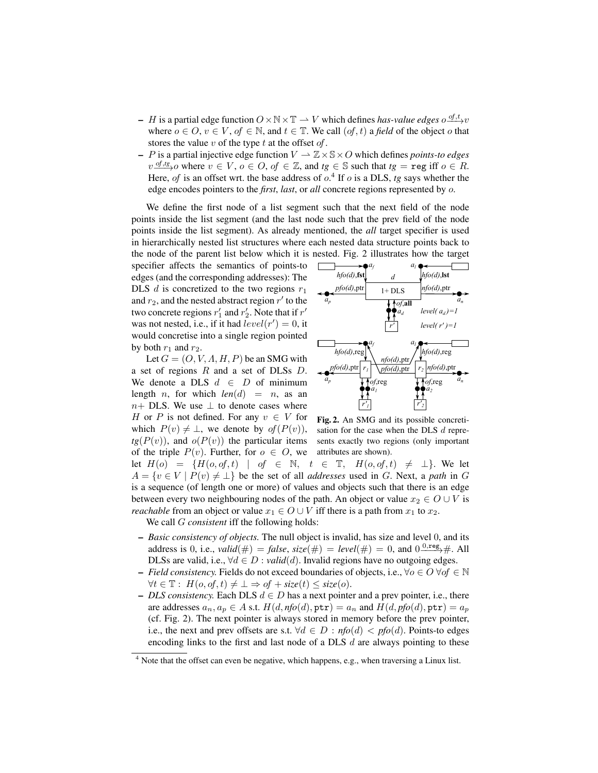- − H is a partial edge function  $O \times \mathbb{N} \times \mathbb{T} \to V$  which defines *has-value edges*  $o \frac{of, t}{\to} v$ where  $o \in O$ ,  $v \in V$ , of  $\in \mathbb{N}$ , and  $t \in \mathbb{T}$ . We call  $(of, t)$  a *field* of the object o that stores the value  $v$  of the type  $t$  at the offset of.
- P is a partial injective edge function  $V \to \mathbb{Z} \times \mathbb{S} \times O$  which defines *points-to edges*  $v \xrightarrow{of,tg} o$  where  $v \in V$ ,  $o \in O$ ,  $of \in \mathbb{Z}$ , and  $tg \in \mathbb{S}$  such that  $tg = \text{reg}$  iff  $o \in R$ . Here, *of* is an offset wrt. the base address of  $o$ .<sup>4</sup> If  $o$  is a DLS, *tg* says whether the edge encodes pointers to the *first*, *last*, or *all* concrete regions represented by o.

We define the first node of a list segment such that the next field of the node points inside the list segment (and the last node such that the prev field of the node points inside the list segment). As already mentioned, the *all* target specifier is used in hierarchically nested list structures where each nested data structure points back to the node of the parent list below which it is nested. Fig. 2 illustrates how the target specifier affects the semantics of points-to

edges (and the corresponding addresses): The DLS  $d$  is concretized to the two regions  $r_1$ and  $r_2$ , and the nested abstract region  $r'$  to the two concrete regions  $r'_1$  and  $r'_2$ . Note that if  $r'$ was not nested, i.e., if it had  $level(r') = 0$ , it would concretise into a single region pointed by both  $r_1$  and  $r_2$ .

Let  $G = (O, V, A, H, P)$  be an SMG with a set of regions R and a set of DLSs D. We denote a DLS  $d \in D$  of minimum length *n*, for which  $len(d) = n$ , as an  $n+$  DLS. We use  $\perp$  to denote cases where H or P is not defined. For any  $v \in V$  for which  $P(v) \neq \perp$ , we denote by  $of(P(v))$ ,  $tg(P(v))$ , and  $o(P(v))$  the particular items of the triple  $P(v)$ . Further, for  $o \in O$ , we



Fig. 2. An SMG and its possible concretisation for the case when the DLS  $d$  represents exactly two regions (only important attributes are shown).

let  $H(o) = \{H(o, of, t) \mid of \in \mathbb{N}, t \in \mathbb{T}, H(o, of, t) \neq \perp\}.$  We let  $A = \{v \in V \mid P(v) \neq \perp\}$  be the set of all *addresses* used in G. Next, a *path* in G. is a sequence (of length one or more) of values and objects such that there is an edge between every two neighbouring nodes of the path. An object or value  $x_2 \in O \cup V$  is *reachable* from an object or value  $x_1 \in O \cup V$  iff there is a path from  $x_1$  to  $x_2$ .

We call G *consistent* iff the following holds:

- *Basic consistency of objects.* The null object is invalid, has size and level 0, and its address is 0, i.e.,  $valid(\#) = false$ ,  $size(\#) = level(\#) = 0$ , and  $0 \frac{0 \text{,} reg}{0}$ , #. All DLSs are valid, i.e.,  $\forall d \in D : valid(d)$ . Invalid regions have no outgoing edges.
- *Field consistency.* Fields do not exceed boundaries of objects, i.e.,  $\forall o \in O \forall of \in \mathbb{N}$  $\forall t \in \mathbb{T} : H(o, of, t) \neq \bot \Rightarrow of + size(t) \leq size(o).$
- $–$  *DLS consistency*. Each DLS  $d \in D$  has a next pointer and a prev pointer, i.e., there are addresses  $a_n, a_p \in A$  s.t.  $H(d, nfo(d), \text{ptr}) = a_n$  and  $H(d, pfo(d), \text{ptr}) = a_p$ (cf. Fig. 2). The next pointer is always stored in memory before the prev pointer, i.e., the next and prev offsets are s.t.  $\forall d \in D : \text{nf} \circ (d) < \text{pf} \circ (d)$ . Points-to edges encoding links to the first and last node of a DLS  $d$  are always pointing to these

<sup>4</sup> Note that the offset can even be negative, which happens, e.g., when traversing a Linux list.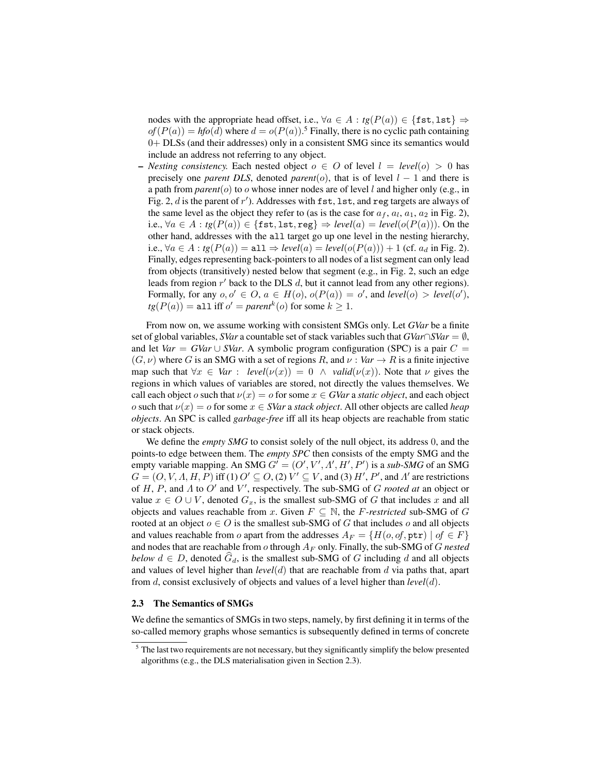nodes with the appropriate head offset, i.e.,  $\forall a \in A : tg(P(a)) \in \{\texttt{fst}, \texttt{lst}\} \Rightarrow$  $of(P(a)) = hfo(d)$  where  $d = o(P(a))$ .<sup>5</sup> Finally, there is no cyclic path containing 0+ DLSs (and their addresses) only in a consistent SMG since its semantics would include an address not referring to any object.

– *Nesting consistency*. Each nested object  $o \in O$  of level  $l = level(o) > 0$  has precisely one *parent DLS*, denoted *parent*( $o$ ), that is of level  $l - 1$  and there is a path from *parent*( $o$ ) to  $o$  whose inner nodes are of level  $l$  and higher only (e.g., in Fig. 2,  $d$  is the parent of  $r'$ ). Addresses with fst, 1st, and reg targets are always of the same level as the object they refer to (as is the case for  $a_f$ ,  $a_l$ ,  $a_1$ ,  $a_2$  in Fig. 2), i.e.,  $\forall a \in A : tg(P(a)) \in \{\text{fst}, \text{lst}, \text{reg}\}\Rightarrow level(a) = level(o(P(a))).$  On the other hand, addresses with the all target go up one level in the nesting hierarchy, i.e.,  $\forall a \in A : tg(P(a)) = \text{all} \Rightarrow level(a) = level(o(P(a))) + 1$  (cf.  $a_d$  in Fig. 2). Finally, edges representing back-pointers to all nodes of a list segment can only lead from objects (transitively) nested below that segment (e.g., in Fig. 2, such an edge leads from region  $r'$  back to the DLS  $d$ , but it cannot lead from any other regions). Formally, for any  $o, o' \in O$ ,  $a \in H(o)$ ,  $o(P(a)) = o'$ , and  $level(o) > level(o')$ ,  $tg(P(a)) =$  all iff  $o' = parent^k(o)$  for some  $k \geq 1$ .

From now on, we assume working with consistent SMGs only. Let *GVar* be a finite set of global variables, *SVar* a countable set of stack variables such that *GVar*∩*SVar* = ∅, and let *Var* = *GVar*  $\cup$  *SVar*. A symbolic program configuration (SPC) is a pair  $C =$  $(G, \nu)$  where G is an SMG with a set of regions R, and  $\nu : Var \rightarrow R$  is a finite injective map such that  $\forall x \in Var : level(\nu(x)) = 0 \land valid(\nu(x))$ . Note that  $\nu$  gives the regions in which values of variables are stored, not directly the values themselves. We call each object o such that  $\nu(x) = o$  for some  $x \in GVar$  a *static object*, and each object o such that  $\nu(x) = o$  for some  $x \in SVar$  a *stack object*. All other objects are called *heap objects*. An SPC is called *garbage-free* iff all its heap objects are reachable from static or stack objects.

We define the *empty SMG* to consist solely of the null object, its address 0, and the points-to edge between them. The *empty SPC* then consists of the empty SMG and the empty variable mapping. An SMG  $G' = (O', V', \Lambda', H', P')$  is a *sub-SMG* of an SMG  $G = (O, V, A, H, P)$  iff  $(1) O' \subseteq O$ ,  $(2) V' \subseteq V$ , and  $(3) H', P'$ , and  $A'$  are restrictions of H, P, and  $\Lambda$  to  $O'$  and  $V'$ , respectively. The sub-SMG of G *rooted at* an object or value  $x \in O \cup V$ , denoted  $G_x$ , is the smallest sub-SMG of G that includes x and all objects and values reachable from x. Given  $F \subseteq \mathbb{N}$ , the F-restricted sub-SMG of G rooted at an object  $o \in O$  is the smallest sub-SMG of G that includes o and all objects and values reachable from o apart from the addresses  $A_F = \{H(o, of, \text{ptr}) \mid of \in F\}$ and nodes that are reachable from  $o$  through  $A_F$  only. Finally, the sub-SMG of  $G$  nested *below*  $d \in D$ , denoted  $G_d$ , is the smallest sub-SMG of G including d and all objects and values of level higher than *level*(d) that are reachable from d via paths that, apart from d, consist exclusively of objects and values of a level higher than *level*(d).

#### 2.3 The Semantics of SMGs

We define the semantics of SMGs in two steps, namely, by first defining it in terms of the so-called memory graphs whose semantics is subsequently defined in terms of concrete

<sup>&</sup>lt;sup>5</sup> The last two requirements are not necessary, but they significantly simplify the below presented algorithms (e.g., the DLS materialisation given in Section 2.3).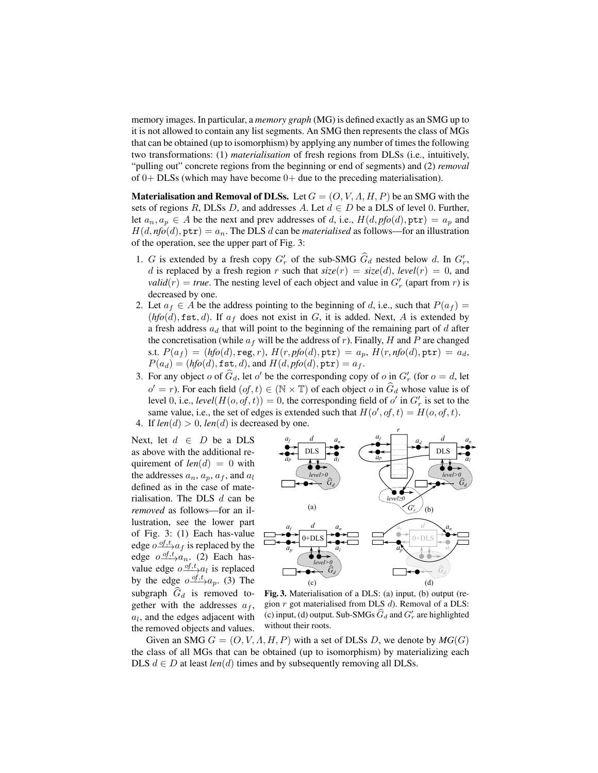memory images. In particular, a *memory graph* (MG) is defined exactly as an SMG up to it is not allowed to contain any list segments. An SMG then represents the class of MGs that can be obtained (up to isomorphism) by applying any number of times the following two transformations: (1) *materialisation* of fresh regions from DLSs (i.e., intuitively, "pulling out" concrete regions from the beginning or end of segments) and (2) *removal* of  $0+$  DLSs (which may have become  $0+$  due to the preceding materialisation).

**Materialisation and Removal of DLSs.** Let  $G = (O, V, A, H, P)$  be an SMG with the sets of regions R, DLSs D, and addresses A. Let  $d \in D$  be a DLS of level 0. Further, let  $a_n, a_p \in A$  be the next and prev addresses of d, i.e.,  $H(d, pfo(d), \text{ptr}) = a_p$  and  $H(d, nfo(d), \texttt{ptr}) = a_n$ . The DLS d can be *materialised* as follows—for an illustration of the operation, see the upper part of Fig. 3:

- 1. G is extended by a fresh copy  $G'_r$  of the sub-SMG  $\hat{G}_d$  nested below d. In  $G'_r$ , d is replaced by a fresh region r such that  $size(r) = size(d)$ ,  $level(r) = 0$ , and *valid*(*r*) = *true*. The nesting level of each object and value in  $G'_r$  (apart from *r*) is decreased by one.
- 2. Let  $a_f \in A$  be the address pointing to the beginning of d, i.e., such that  $P(a_f) =$  $(hfo(d), \text{fst}, d)$ . If  $a_f$  does not exist in G, it is added. Next, A is extended by a fresh address  $a_d$  that will point to the beginning of the remaining part of d after the concretisation (while  $a_f$  will be the address of r). Finally, H and P are changed s.t.  $P(a_f) = (hfo(d), \text{reg}, r), H(r, pfo(d), \text{ptr}) = a_p, H(r, nfo(d), \text{ptr}) = a_d,$  $P(a_d) = (h f o(d), \texttt{fst}, d)$ , and  $H(d, p f o(d), \texttt{ptr}) = a_f$ .
- 3. For any object  $o$  of  $\hat{G}_d$ , let  $o'$  be the corresponding copy of  $o$  in  $G'_r$  (for  $o = d$ , let  $o' = r$ ). For each field  $(of, t) \in (\mathbb{N} \times \mathbb{T})$  of each object  $o$  in  $\hat{G}_d$  whose value is of level 0, i.e.,  $level(H(o, of, t)) = 0$ , the corresponding field of  $o'$  in  $G'_r$  is set to the same value, i.e., the set of edges is extended such that  $H(o', of, t) = H(o, of, t)$ .
- 4. If  $len(d) > 0$ ,  $len(d)$  is decreased by one.

Next, let  $d \in D$  be a DLS as above with the additional requirement of  $len(d) = 0$  with the addresses  $a_n$ ,  $a_p$ ,  $a_f$ , and  $a_l$ defined as in the case of materialisation. The DLS  $d$  can be *removed* as follows—for an illustration, see the lower part of Fig. 3: (1) Each has-value edge  $o \frac{of, t}{f} a_f$  is replaced by the edge  $o \frac{of, t}{a_n}$ . (2) Each hasvalue edge  $o \frac{of, t}{d} a_l$  is replaced by the edge  $o \frac{of, t}{f} a_p$ . (3) The subgraph  $\hat{G}_d$  is removed together with the addresses  $a_f$ ,  $a_l$ , and the edges adjacent with the removed objects and values.



Fig. 3. Materialisation of a DLS: (a) input, (b) output (region  $r$  got materialised from DLS  $d$ ). Removal of a DLS: (c) input, (d) output. Sub-SMGs  $\widehat{G}_d$  and  $G'_r$  are highlighted without their roots.

Given an SMG  $G = (O, V, \Lambda, H, P)$  with a set of DLSs D, we denote by  $MG(G)$ the class of all MGs that can be obtained (up to isomorphism) by materializing each DLS  $d \in D$  at least *len*(*d*) times and by subsequently removing all DLSs.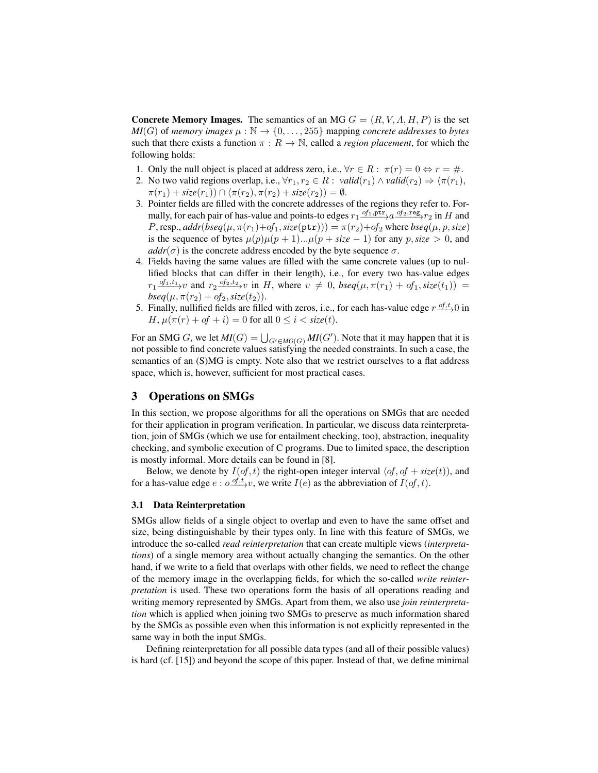**Concrete Memory Images.** The semantics of an MG  $G = (R, V, A, H, P)$  is the set  $MI(G)$  of *memory images*  $\mu : \mathbb{N} \to \{0, \ldots, 255\}$  mapping *concrete addresses* to *bytes* such that there exists a function  $\pi : R \to \mathbb{N}$ , called a *region placement*, for which the following holds:

- 1. Only the null object is placed at address zero, i.e.,  $\forall r \in R : \pi(r) = 0 \Leftrightarrow r = \#$ .
- 2. No two valid regions overlap, i.e.,  $\forall r_1, r_2 \in R$ : *valid*( $r_1$ )  $\land$  *valid*( $r_2$ )  $\Rightarrow$   $\langle \pi(r_1),$  $\pi(r_1) + \text{size}(r_1) \cap \langle \pi(r_2), \pi(r_2) + \text{size}(r_2) \rangle = \emptyset.$
- 3. Pointer fields are filled with the concrete addresses of the regions they refer to. Formally, for each pair of has-value and points-to edges  $r_1 \frac{of_1, \text{ptr}}{of_2, \text{reg}} r_2$  in H and  $P$ , resp.,  $addr(baseq(\mu, \pi(r_1)+of_1, size(\text{ptr})) = \pi(r_2)+of_2$  where  $bseq(\mu, p, size)$ is the sequence of bytes  $\mu(p)\mu(p+1)...\mu(p+size-1)$  for any p, size > 0, and  $\alpha \, d\alpha(r)$  is the concrete address encoded by the byte sequence  $\sigma$ .
- 4. Fields having the same values are filled with the same concrete values (up to nullified blocks that can differ in their length), i.e., for every two has-value edges  $r_1 \frac{\partial f_1, t_1}{\partial y} v$  and  $r_2 \frac{\partial f_2, t_2}{\partial y} v$  in H, where  $v \neq 0$ ,  $bseq(\mu, \pi(r_1) + of_1, size(t_1)) =$  $bseq(\mu, \pi(r_2) + of_2, size(t_2)).$
- 5. Finally, nullified fields are filled with zeros, i.e., for each has-value edge  $r \frac{of, t}{\to} 0$  in H,  $\mu(\pi(r) + \textit{of} + i) = 0$  for all  $0 \leq i < \textit{size}(t)$ .

For an SMG G, we let  $MI(G) = \bigcup_{G' \in MG(G)} MI(G')$ . Note that it may happen that it is not possible to find concrete values satisfying the needed constraints. In such a case, the semantics of an (S)MG is empty. Note also that we restrict ourselves to a flat address space, which is, however, sufficient for most practical cases.

## 3 Operations on SMGs

In this section, we propose algorithms for all the operations on SMGs that are needed for their application in program verification. In particular, we discuss data reinterpretation, join of SMGs (which we use for entailment checking, too), abstraction, inequality checking, and symbolic execution of C programs. Due to limited space, the description is mostly informal. More details can be found in [8].

Below, we denote by  $I(of, t)$  the right-open integer interval  $\langle of, of + size(t) \rangle$ , and for a has-value edge  $e : o \frac{of, t}{\longrightarrow} v$ , we write  $I(e)$  as the abbreviation of  $I(of, t)$ .

#### 3.1 Data Reinterpretation

SMGs allow fields of a single object to overlap and even to have the same offset and size, being distinguishable by their types only. In line with this feature of SMGs, we introduce the so-called *read reinterpretation* that can create multiple views (*interpretations*) of a single memory area without actually changing the semantics. On the other hand, if we write to a field that overlaps with other fields, we need to reflect the change of the memory image in the overlapping fields, for which the so-called *write reinterpretation* is used. These two operations form the basis of all operations reading and writing memory represented by SMGs. Apart from them, we also use *join reinterpretation* which is applied when joining two SMGs to preserve as much information shared by the SMGs as possible even when this information is not explicitly represented in the same way in both the input SMGs.

Defining reinterpretation for all possible data types (and all of their possible values) is hard (cf. [15]) and beyond the scope of this paper. Instead of that, we define minimal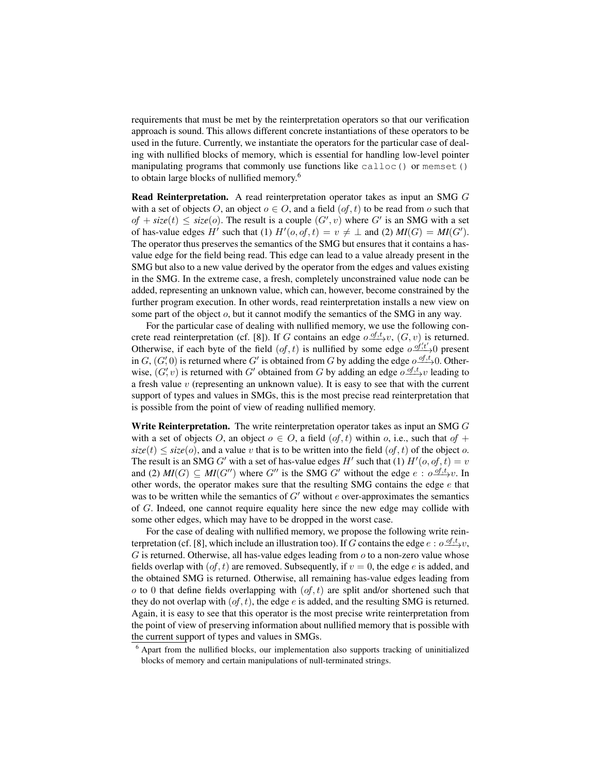requirements that must be met by the reinterpretation operators so that our verification approach is sound. This allows different concrete instantiations of these operators to be used in the future. Currently, we instantiate the operators for the particular case of dealing with nullified blocks of memory, which is essential for handling low-level pointer manipulating programs that commonly use functions like calloc() or memset() to obtain large blocks of nullified memory.<sup>6</sup>

Read Reinterpretation. A read reinterpretation operator takes as input an SMG G with a set of objects O, an object  $o \in O$ , and a field  $(of, t)$  to be read from o such that  $of + size(t) \leq size(o)$ . The result is a couple  $(G', v)$  where  $G'$  is an SMG with a set of has-value edges H' such that (1)  $H'(o, of, t) = v \neq \perp$  and (2)  $MI(G) = MI(G')$ . The operator thus preserves the semantics of the SMG but ensures that it contains a hasvalue edge for the field being read. This edge can lead to a value already present in the SMG but also to a new value derived by the operator from the edges and values existing in the SMG. In the extreme case, a fresh, completely unconstrained value node can be added, representing an unknown value, which can, however, become constrained by the further program execution. In other words, read reinterpretation installs a new view on some part of the object  $o$ , but it cannot modify the semantics of the SMG in any way.

For the particular case of dealing with nullified memory, we use the following concrete read reinterpretation (cf. [8]). If G contains an edge  $o \frac{of, t}{f}v$ ,  $(G, v)$  is returned. Otherwise, if each byte of the field  $(of, t)$  is nullified by some edge  $o \frac{of}{t}$  of present in  $G$ ,  $(G, 0)$  is returned where  $G'$  is obtained from  $G$  by adding the edge  $o \frac{of, t}{\to} 0$ . Otherwise,  $(G, v)$  is returned with G' obtained from G by adding an edge  $o \frac{of, t}{v}$  leading to a fresh value  $v$  (representing an unknown value). It is easy to see that with the current support of types and values in SMGs, this is the most precise read reinterpretation that is possible from the point of view of reading nullified memory.

Write Reinterpretation. The write reinterpretation operator takes as input an SMG G with a set of objects O, an object  $o \in O$ , a field  $(of, t)$  within o, i.e., such that of +  $size(t) \leq size(o)$ , and a value v that is to be written into the field  $(cf, t)$  of the object o. The result is an SMG G' with a set of has-value edges H' such that (1)  $H'(o, of, t) = v$ and (2)  $MI(G) \subseteq MI(G'')$  where G'' is the SMG G' without the edge  $e : o \frac{of, t}{\rightarrow} v$ . In other words, the operator makes sure that the resulting SMG contains the edge  $e$  that was to be written while the semantics of  $G'$  without e over-approximates the semantics of G. Indeed, one cannot require equality here since the new edge may collide with some other edges, which may have to be dropped in the worst case.

For the case of dealing with nullified memory, we propose the following write reinterpretation (cf. [8], which include an illustration too). If G contains the edge  $e : o \frac{of, t}{v}v$ ,  $G$  is returned. Otherwise, all has-value edges leading from  $o$  to a non-zero value whose fields overlap with  $(\sigma f, t)$  are removed. Subsequently, if  $v = 0$ , the edge e is added, and the obtained SMG is returned. Otherwise, all remaining has-value edges leading from  $o$  to 0 that define fields overlapping with  $(of, t)$  are split and/or shortened such that they do not overlap with  $(of, t)$ , the edge e is added, and the resulting SMG is returned. Again, it is easy to see that this operator is the most precise write reinterpretation from the point of view of preserving information about nullified memory that is possible with the current support of types and values in SMGs.

<sup>6</sup> Apart from the nullified blocks, our implementation also supports tracking of uninitialized blocks of memory and certain manipulations of null-terminated strings.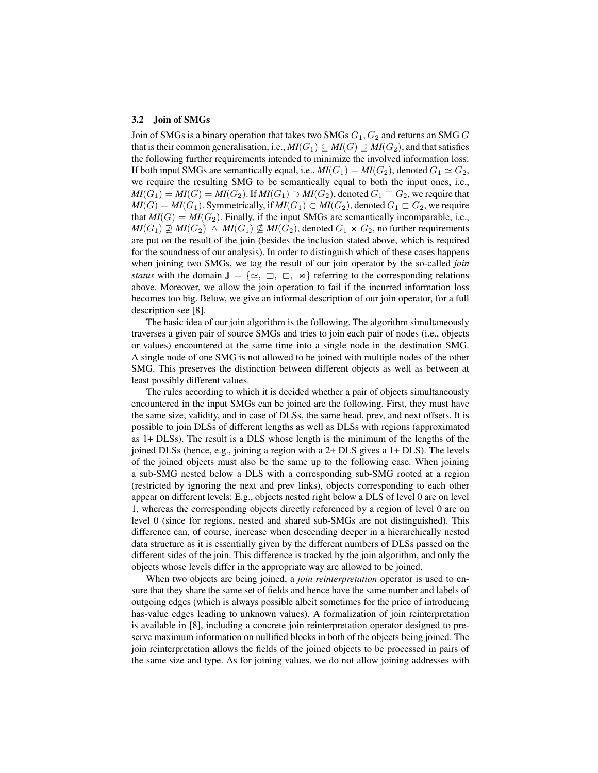#### 3.2 Join of SMGs

Join of SMGs is a binary operation that takes two SMGs  $G_1, G_2$  and returns an SMG G that is their common generalisation, i.e.,  $MI(G_1) \subseteq MI(G) \supseteq MI(G_2)$ , and that satisfies the following further requirements intended to minimize the involved information loss: If both input SMGs are semantically equal, i.e.,  $MI(G_1) = MI(G_2)$ , denoted  $G_1 \simeq G_2$ , we require the resulting SMG to be semantically equal to both the input ones, i.e.,  $MI(G_1) = MI(G) = MI(G_2)$ . If  $MI(G_1) \supset MI(G_2)$ , denoted  $G_1 \supset G_2$ , we require that  $MI(G) = MI(G_1)$ . Symmetrically, if  $MI(G_1) \subset MI(G_2)$ , denoted  $G_1 \subset G_2$ , we require that  $MI(G) = MI(G_2)$ . Finally, if the input SMGs are semantically incomparable, i.e.,  $MI(G_1) \not\supseteq MI(G_2) \wedge MI(G_1) \not\subseteq MI(G_2)$ , denoted  $G_1 \bowtie G_2$ , no further requirements are put on the result of the join (besides the inclusion stated above, which is required for the soundness of our analysis). In order to distinguish which of these cases happens when joining two SMGs, we tag the result of our join operator by the so-called *join status* with the domain  $\mathbb{J} = \{\simeq, \square, \square, \bowtie\}$  referring to the corresponding relations above. Moreover, we allow the join operation to fail if the incurred information loss becomes too big. Below, we give an informal description of our join operator, for a full description see [8].

The basic idea of our join algorithm is the following. The algorithm simultaneously traverses a given pair of source SMGs and tries to join each pair of nodes (i.e., objects or values) encountered at the same time into a single node in the destination SMG. A single node of one SMG is not allowed to be joined with multiple nodes of the other SMG. This preserves the distinction between different objects as well as between at least possibly different values.

The rules according to which it is decided whether a pair of objects simultaneously encountered in the input SMGs can be joined are the following. First, they must have the same size, validity, and in case of DLSs, the same head, prev, and next offsets. It is possible to join DLSs of different lengths as well as DLSs with regions (approximated as 1+ DLSs). The result is a DLS whose length is the minimum of the lengths of the joined DLSs (hence, e.g., joining a region with a 2+ DLS gives a 1+ DLS). The levels of the joined objects must also be the same up to the following case. When joining a sub-SMG nested below a DLS with a corresponding sub-SMG rooted at a region (restricted by ignoring the next and prev links), objects corresponding to each other appear on different levels: E.g., objects nested right below a DLS of level 0 are on level 1, whereas the corresponding objects directly referenced by a region of level 0 are on level 0 (since for regions, nested and shared sub-SMGs are not distinguished). This difference can, of course, increase when descending deeper in a hierarchically nested data structure as it is essentially given by the different numbers of DLSs passed on the different sides of the join. This difference is tracked by the join algorithm, and only the objects whose levels differ in the appropriate way are allowed to be joined.

When two objects are being joined, a *join reinterpretation* operator is used to ensure that they share the same set of fields and hence have the same number and labels of outgoing edges (which is always possible albeit sometimes for the price of introducing has-value edges leading to unknown values). A formalization of join reinterpretation is available in [8], including a concrete join reinterpretation operator designed to preserve maximum information on nullified blocks in both of the objects being joined. The join reinterpretation allows the fields of the joined objects to be processed in pairs of the same size and type. As for joining values, we do not allow joining addresses with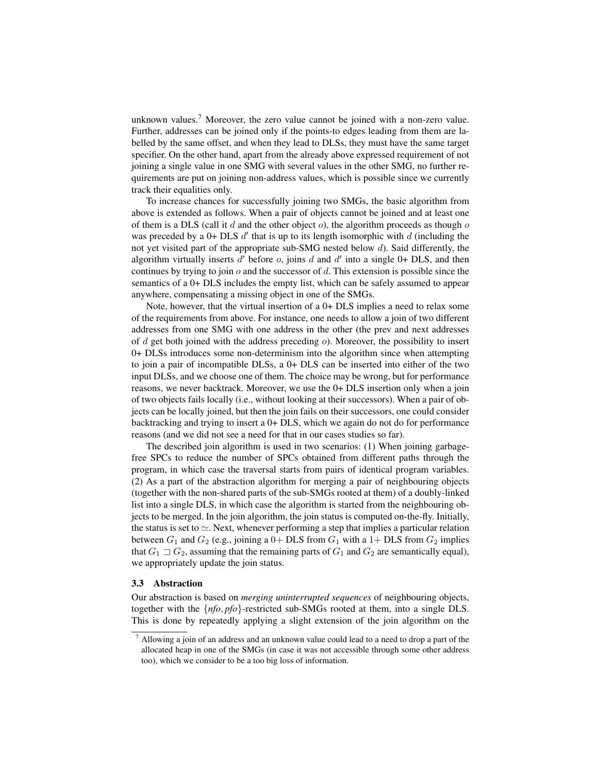unknown values.<sup>7</sup> Moreover, the zero value cannot be joined with a non-zero value. Further, addresses can be joined only if the points-to edges leading from them are labelled by the same offset, and when they lead to DLSs, they must have the same target specifier. On the other hand, apart from the already above expressed requirement of not joining a single value in one SMG with several values in the other SMG, no further requirements are put on joining non-address values, which is possible since we currently track their equalities only.

To increase chances for successfully joining two SMGs, the basic algorithm from above is extended as follows. When a pair of objects cannot be joined and at least one of them is a DLS (call it  $d$  and the other object  $o$ ), the algorithm proceeds as though  $o$ was preceded by a  $0+$  DLS  $d'$  that is up to its length isomorphic with  $d$  (including the not yet visited part of the appropriate sub-SMG nested below  $d$ ). Said differently, the algorithm virtually inserts  $d'$  before  $o$ , joins  $d$  and  $d'$  into a single 0+ DLS, and then continues by trying to join  $\sigma$  and the successor of d. This extension is possible since the semantics of a 0+ DLS includes the empty list, which can be safely assumed to appear anywhere, compensating a missing object in one of the SMGs.

Note, however, that the virtual insertion of a 0+ DLS implies a need to relax some of the requirements from above. For instance, one needs to allow a join of two different addresses from one SMG with one address in the other (the prev and next addresses of d get both joined with the address preceding  $o$ ). Moreover, the possibility to insert 0+ DLSs introduces some non-determinism into the algorithm since when attempting to join a pair of incompatible DLSs, a 0+ DLS can be inserted into either of the two input DLSs, and we choose one of them. The choice may be wrong, but for performance reasons, we never backtrack. Moreover, we use the 0+ DLS insertion only when a join of two objects fails locally (i.e., without looking at their successors). When a pair of objects can be locally joined, but then the join fails on their successors, one could consider backtracking and trying to insert a 0+ DLS, which we again do not do for performance reasons (and we did not see a need for that in our cases studies so far).

The described join algorithm is used in two scenarios: (1) When joining garbagefree SPCs to reduce the number of SPCs obtained from different paths through the program, in which case the traversal starts from pairs of identical program variables. (2) As a part of the abstraction algorithm for merging a pair of neighbouring objects (together with the non-shared parts of the sub-SMGs rooted at them) of a doubly-linked list into a single DLS, in which case the algorithm is started from the neighbouring objects to be merged. In the join algorithm, the join status is computed on-the-fly. Initially, the status is set to  $\simeq$ . Next, whenever performing a step that implies a particular relation between  $G_1$  and  $G_2$  (e.g., joining a 0+ DLS from  $G_1$  with a 1+ DLS from  $G_2$  implies that  $G_1 \supset G_2$ , assuming that the remaining parts of  $G_1$  and  $G_2$  are semantically equal), we appropriately update the join status.

#### 3.3 Abstraction

Our abstraction is based on *merging uninterrupted sequences* of neighbouring objects, together with the {*nfo*, *pfo*}-restricted sub-SMGs rooted at them, into a single DLS. This is done by repeatedly applying a slight extension of the join algorithm on the

<sup>7</sup> Allowing a join of an address and an unknown value could lead to a need to drop a part of the allocated heap in one of the SMGs (in case it was not accessible through some other address too), which we consider to be a too big loss of information.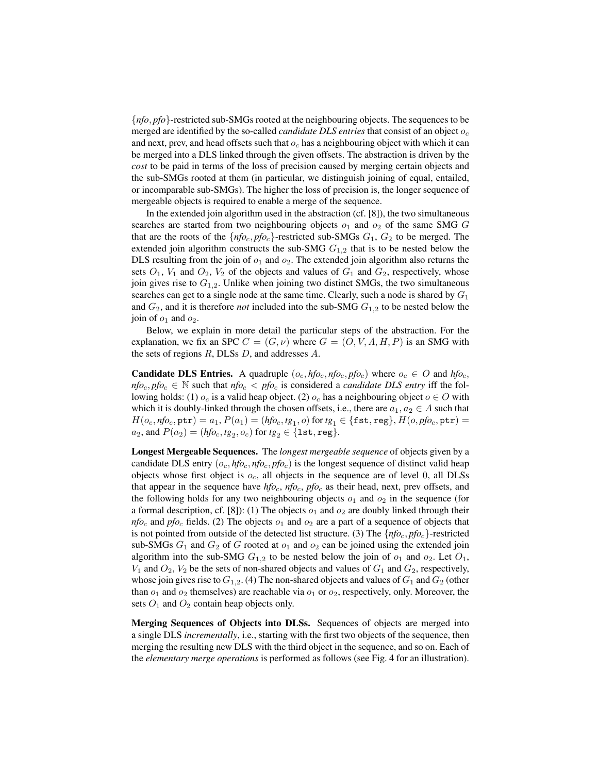{*nfo*, *pfo*}-restricted sub-SMGs rooted at the neighbouring objects. The sequences to be merged are identified by the so-called *candidate DLS entries* that consist of an object  $o_c$ and next, prev, and head offsets such that  $o<sub>c</sub>$  has a neighbouring object with which it can be merged into a DLS linked through the given offsets. The abstraction is driven by the *cost* to be paid in terms of the loss of precision caused by merging certain objects and the sub-SMGs rooted at them (in particular, we distinguish joining of equal, entailed, or incomparable sub-SMGs). The higher the loss of precision is, the longer sequence of mergeable objects is required to enable a merge of the sequence.

In the extended join algorithm used in the abstraction (cf. [8]), the two simultaneous searches are started from two neighbouring objects  $o_1$  and  $o_2$  of the same SMG G that are the roots of the  $\{$ *nfo<sub>c</sub>*, *pfo<sub>c</sub>* $\}$ -restricted sub-SMGs  $G_1$ ,  $G_2$  to be merged. The extended join algorithm constructs the sub-SMG  $G_{1,2}$  that is to be nested below the DLS resulting from the join of  $o_1$  and  $o_2$ . The extended join algorithm also returns the sets  $O_1$ ,  $V_1$  and  $O_2$ ,  $V_2$  of the objects and values of  $G_1$  and  $G_2$ , respectively, whose join gives rise to  $G_{1,2}$ . Unlike when joining two distinct SMGs, the two simultaneous searches can get to a single node at the same time. Clearly, such a node is shared by  $G_1$ and  $G_2$ , and it is therefore *not* included into the sub-SMG  $G_{1,2}$  to be nested below the join of  $o_1$  and  $o_2$ .

Below, we explain in more detail the particular steps of the abstraction. For the explanation, we fix an SPC  $C = (G, \nu)$  where  $G = (O, V, A, H, P)$  is an SMG with the sets of regions  $R$ , DLSs  $D$ , and addresses  $A$ .

**Candidate DLS Entries.** A quadruple  $(o_c, hfo_c, nfo_c, pfo_c)$  where  $o_c \in O$  and  $hfo_c$ ,  $n f o<sub>c</sub>, p f o<sub>c</sub> \in \mathbb{N}$  such that  $n f o<sub>c</sub> < p f o<sub>c</sub>$  is considered a *candidate DLS entry* iff the following holds: (1)  $o_c$  is a valid heap object. (2)  $o_c$  has a neighbouring object  $o \in O$  with which it is doubly-linked through the chosen offsets, i.e., there are  $a_1, a_2 \in A$  such that  $H(o_c, \eta bo_c, \texttt{ptr}) = a_1, P(a_1) = (\eta bo_c, tg_1, o) \text{ for } tg_1 \in \{\texttt{fst}, \texttt{reg}\}, H(o, \texttt{pfo}_c, \texttt{ptr}) =$  $a_2$ , and  $P(a_2) = (h f o_c, t g_2, o_c)$  for  $t g_2 \in \{\texttt{lst}, \texttt{reg}\}.$ 

Longest Mergeable Sequences. The *longest mergeable sequence* of objects given by a candidate DLS entry  $(o_c, hfo_c, nfo_c, pfo_c)$  is the longest sequence of distinct valid heap objects whose first object is  $o_c$ , all objects in the sequence are of level 0, all DLSs that appear in the sequence have *hfo*c, *nfo*c, *pfo*<sup>c</sup> as their head, next, prev offsets, and the following holds for any two neighbouring objects  $o_1$  and  $o_2$  in the sequence (for a formal description, cf. [8]): (1) The objects  $o_1$  and  $o_2$  are doubly linked through their *nfo<sub>c</sub>* and *pfo<sub>c</sub>* fields. (2) The objects  $o_1$  and  $o_2$  are a part of a sequence of objects that is not pointed from outside of the detected list structure. (3) The  $\{nfo_c, pfo_c\}$ -restricted sub-SMGs  $G_1$  and  $G_2$  of G rooted at  $o_1$  and  $o_2$  can be joined using the extended join algorithm into the sub-SMG  $G_{1,2}$  to be nested below the join of  $o_1$  and  $o_2$ . Let  $O_1$ ,  $V_1$  and  $O_2$ ,  $V_2$  be the sets of non-shared objects and values of  $G_1$  and  $G_2$ , respectively, whose join gives rise to  $G_{1,2}$ . (4) The non-shared objects and values of  $G_1$  and  $G_2$  (other than  $o_1$  and  $o_2$  themselves) are reachable via  $o_1$  or  $o_2$ , respectively, only. Moreover, the sets  $O_1$  and  $O_2$  contain heap objects only.

Merging Sequences of Objects into DLSs. Sequences of objects are merged into a single DLS *incrementally*, i.e., starting with the first two objects of the sequence, then merging the resulting new DLS with the third object in the sequence, and so on. Each of the *elementary merge operations* is performed as follows (see Fig. 4 for an illustration).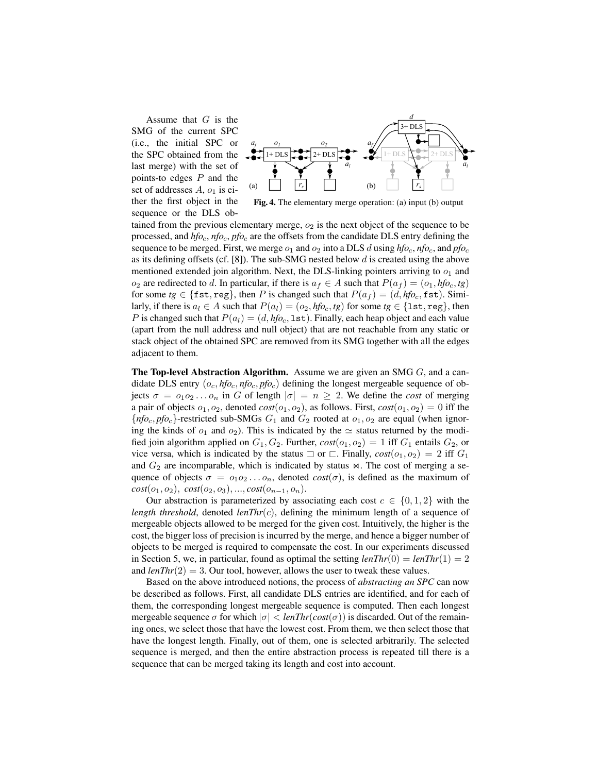Assume that  $G$  is the SMG of the current SPC (i.e., the initial SPC or the SPC obtained from the last merge) with the set of points-to edges  $P$  and the set of addresses  $A$ ,  $o<sub>1</sub>$  is either the first object in the sequence or the DLS ob-



Fig. 4. The elementary merge operation: (a) input (b) output

tained from the previous elementary merge,  $o_2$  is the next object of the sequence to be processed, and *hfo*c, *nfo*c, *pfo*<sup>c</sup> are the offsets from the candidate DLS entry defining the sequence to be merged. First, we merge  $o_1$  and  $o_2$  into a DLS d using  $h f o_c$ ,  $n f o_c$ , and  $p f o_c$ as its defining offsets (cf. [8]). The sub-SMG nested below d is created using the above mentioned extended join algorithm. Next, the DLS-linking pointers arriving to  $o_1$  and  $o_2$  are redirected to d. In particular, if there is  $a_f \in A$  such that  $P(a_f) = (o_1, hfo_c, tg)$ for some  $tg \in \{\texttt{fst}, \texttt{reg}\},\$  then P is changed such that  $P(a_f) = (d, hfo_c, \texttt{fst})$ . Similarly, if there is  $a_l \in A$  such that  $P(a_l) = (o_2, hfo_c, tg)$  for some  $tg \in \{\text{lst}, \text{reg}\}\$ , then P is changed such that  $P(a_l) = (d, hfo_c, 1st)$ . Finally, each heap object and each value (apart from the null address and null object) that are not reachable from any static or stack object of the obtained SPC are removed from its SMG together with all the edges adjacent to them.

**The Top-level Abstraction Algorithm.** Assume we are given an SMG  $G$ , and a candidate DLS entry  $(o_c, hfo_c, pfo_c, pfo_c)$  defining the longest mergeable sequence of objects  $\sigma = o_1 o_2 \dots o_n$  in G of length  $|\sigma| = n \geq 2$ . We define the *cost* of merging a pair of objects  $o_1, o_2$ , denoted  $cost(o_1, o_2)$ , as follows. First,  $cost(o_1, o_2) = 0$  iff the  ${nfo_c, pfo_c}$ -restricted sub-SMGs  $G_1$  and  $G_2$  rooted at  $o_1, o_2$  are equal (when ignoring the kinds of  $o_1$  and  $o_2$ ). This is indicated by the  $\simeq$  status returned by the modified join algorithm applied on  $G_1, G_2$ . Further,  $cost(o_1, o_2) = 1$  iff  $G_1$  entails  $G_2$ , or vice versa, which is indicated by the status  $\Box$  or  $\Box$ . Finally,  $cost(o_1, o_2) = 2$  iff  $G_1$ and  $G_2$  are incomparable, which is indicated by status  $\bowtie$ . The cost of merging a sequence of objects  $\sigma = o_1 o_2 \dots o_n$ , denoted  $cost(\sigma)$ , is defined as the maximum of  $cost(o_1, o_2), cost(o_2, o_3), ..., cost(o_{n-1}, o_n).$ 

Our abstraction is parameterized by associating each cost  $c \in \{0, 1, 2\}$  with the *length threshold*, denoted  $lenThr(c)$ , defining the minimum length of a sequence of mergeable objects allowed to be merged for the given cost. Intuitively, the higher is the cost, the bigger loss of precision is incurred by the merge, and hence a bigger number of objects to be merged is required to compensate the cost. In our experiments discussed in Section 5, we, in particular, found as optimal the setting  $lenThr(0) = lenThr(1) = 2$ and  $lenThr(2) = 3$ . Our tool, however, allows the user to tweak these values.

Based on the above introduced notions, the process of *abstracting an SPC* can now be described as follows. First, all candidate DLS entries are identified, and for each of them, the corresponding longest mergeable sequence is computed. Then each longest mergeable sequence  $\sigma$  for which  $|\sigma| < \text{lenThr}(\text{cost}(\sigma))$  is discarded. Out of the remaining ones, we select those that have the lowest cost. From them, we then select those that have the longest length. Finally, out of them, one is selected arbitrarily. The selected sequence is merged, and then the entire abstraction process is repeated till there is a sequence that can be merged taking its length and cost into account.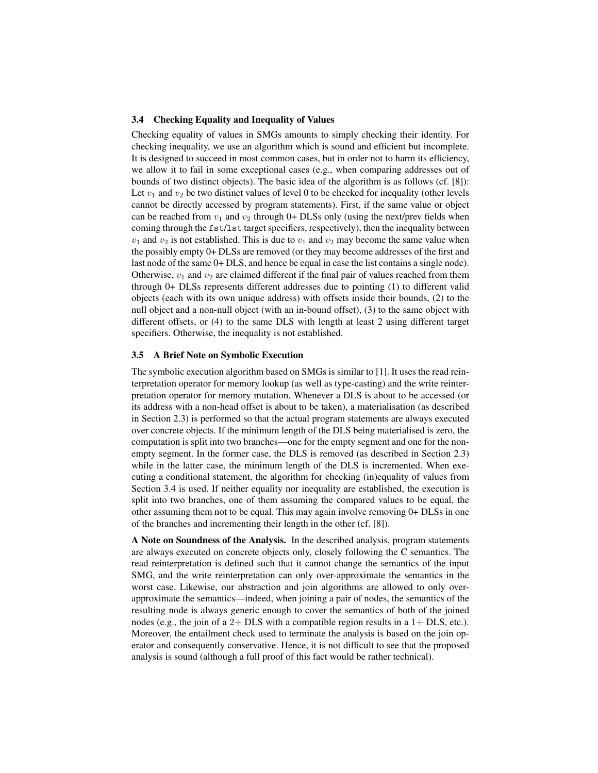#### 3.4 Checking Equality and Inequality of Values

Checking equality of values in SMGs amounts to simply checking their identity. For checking inequality, we use an algorithm which is sound and efficient but incomplete. It is designed to succeed in most common cases, but in order not to harm its efficiency, we allow it to fail in some exceptional cases (e.g., when comparing addresses out of bounds of two distinct objects). The basic idea of the algorithm is as follows (cf. [8]): Let  $v_1$  and  $v_2$  be two distinct values of level 0 to be checked for inequality (other levels cannot be directly accessed by program statements). First, if the same value or object can be reached from  $v_1$  and  $v_2$  through 0+ DLSs only (using the next/prev fields when coming through the fst/lst target specifiers, respectively), then the inequality between  $v_1$  and  $v_2$  is not established. This is due to  $v_1$  and  $v_2$  may become the same value when the possibly empty 0+ DLSs are removed (or they may become addresses of the first and last node of the same 0+ DLS, and hence be equal in case the list contains a single node). Otherwise,  $v_1$  and  $v_2$  are claimed different if the final pair of values reached from them through 0+ DLSs represents different addresses due to pointing (1) to different valid objects (each with its own unique address) with offsets inside their bounds, (2) to the null object and a non-null object (with an in-bound offset), (3) to the same object with different offsets, or (4) to the same DLS with length at least 2 using different target specifiers. Otherwise, the inequality is not established.

#### 3.5 A Brief Note on Symbolic Execution

The symbolic execution algorithm based on SMGs is similar to [1]. It uses the read reinterpretation operator for memory lookup (as well as type-casting) and the write reinterpretation operator for memory mutation. Whenever a DLS is about to be accessed (or its address with a non-head offset is about to be taken), a materialisation (as described in Section 2.3) is performed so that the actual program statements are always executed over concrete objects. If the minimum length of the DLS being materialised is zero, the computation is split into two branches—one for the empty segment and one for the nonempty segment. In the former case, the DLS is removed (as described in Section 2.3) while in the latter case, the minimum length of the DLS is incremented. When executing a conditional statement, the algorithm for checking (in)equality of values from Section 3.4 is used. If neither equality nor inequality are established, the execution is split into two branches, one of them assuming the compared values to be equal, the other assuming them not to be equal. This may again involve removing  $0+$  DLSs in one of the branches and incrementing their length in the other (cf. [8]).

A Note on Soundness of the Analysis. In the described analysis, program statements are always executed on concrete objects only, closely following the C semantics. The read reinterpretation is defined such that it cannot change the semantics of the input SMG, and the write reinterpretation can only over-approximate the semantics in the worst case. Likewise, our abstraction and join algorithms are allowed to only overapproximate the semantics—indeed, when joining a pair of nodes, the semantics of the resulting node is always generic enough to cover the semantics of both of the joined nodes (e.g., the join of a  $2+$  DLS with a compatible region results in a  $1+$  DLS, etc.). Moreover, the entailment check used to terminate the analysis is based on the join operator and consequently conservative. Hence, it is not difficult to see that the proposed analysis is sound (although a full proof of this fact would be rather technical).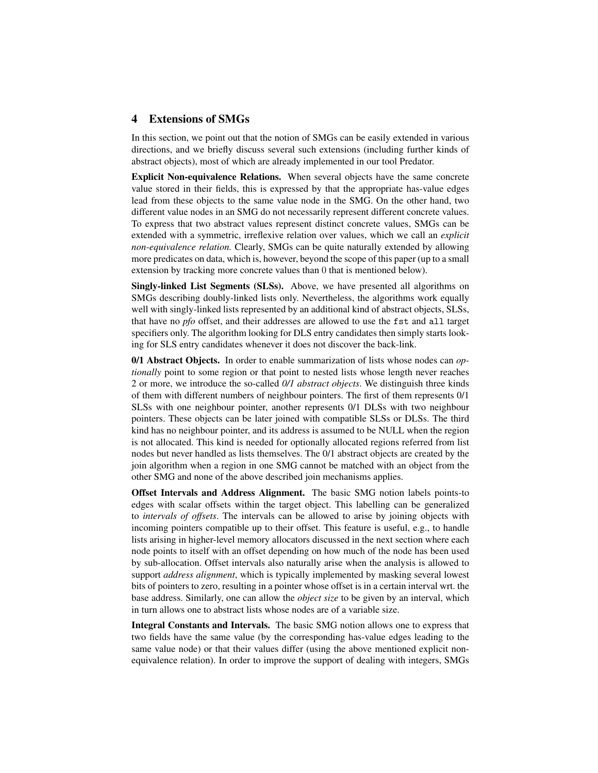## 4 Extensions of SMGs

In this section, we point out that the notion of SMGs can be easily extended in various directions, and we briefly discuss several such extensions (including further kinds of abstract objects), most of which are already implemented in our tool Predator.

Explicit Non-equivalence Relations. When several objects have the same concrete value stored in their fields, this is expressed by that the appropriate has-value edges lead from these objects to the same value node in the SMG. On the other hand, two different value nodes in an SMG do not necessarily represent different concrete values. To express that two abstract values represent distinct concrete values, SMGs can be extended with a symmetric, irreflexive relation over values, which we call an *explicit non-equivalence relation.* Clearly, SMGs can be quite naturally extended by allowing more predicates on data, which is, however, beyond the scope of this paper (up to a small extension by tracking more concrete values than 0 that is mentioned below).

Singly-linked List Segments (SLSs). Above, we have presented all algorithms on SMGs describing doubly-linked lists only. Nevertheless, the algorithms work equally well with singly-linked lists represented by an additional kind of abstract objects, SLSs, that have no *pfo* offset, and their addresses are allowed to use the fst and all target specifiers only. The algorithm looking for DLS entry candidates then simply starts looking for SLS entry candidates whenever it does not discover the back-link.

0/1 Abstract Objects. In order to enable summarization of lists whose nodes can *optionally* point to some region or that point to nested lists whose length never reaches 2 or more, we introduce the so-called *0/1 abstract objects*. We distinguish three kinds of them with different numbers of neighbour pointers. The first of them represents 0/1 SLSs with one neighbour pointer, another represents 0/1 DLSs with two neighbour pointers. These objects can be later joined with compatible SLSs or DLSs. The third kind has no neighbour pointer, and its address is assumed to be NULL when the region is not allocated. This kind is needed for optionally allocated regions referred from list nodes but never handled as lists themselves. The 0/1 abstract objects are created by the join algorithm when a region in one SMG cannot be matched with an object from the other SMG and none of the above described join mechanisms applies.

Offset Intervals and Address Alignment. The basic SMG notion labels points-to edges with scalar offsets within the target object. This labelling can be generalized to *intervals of offsets*. The intervals can be allowed to arise by joining objects with incoming pointers compatible up to their offset. This feature is useful, e.g., to handle lists arising in higher-level memory allocators discussed in the next section where each node points to itself with an offset depending on how much of the node has been used by sub-allocation. Offset intervals also naturally arise when the analysis is allowed to support *address alignment*, which is typically implemented by masking several lowest bits of pointers to zero, resulting in a pointer whose offset is in a certain interval wrt. the base address. Similarly, one can allow the *object size* to be given by an interval, which in turn allows one to abstract lists whose nodes are of a variable size.

Integral Constants and Intervals. The basic SMG notion allows one to express that two fields have the same value (by the corresponding has-value edges leading to the same value node) or that their values differ (using the above mentioned explicit nonequivalence relation). In order to improve the support of dealing with integers, SMGs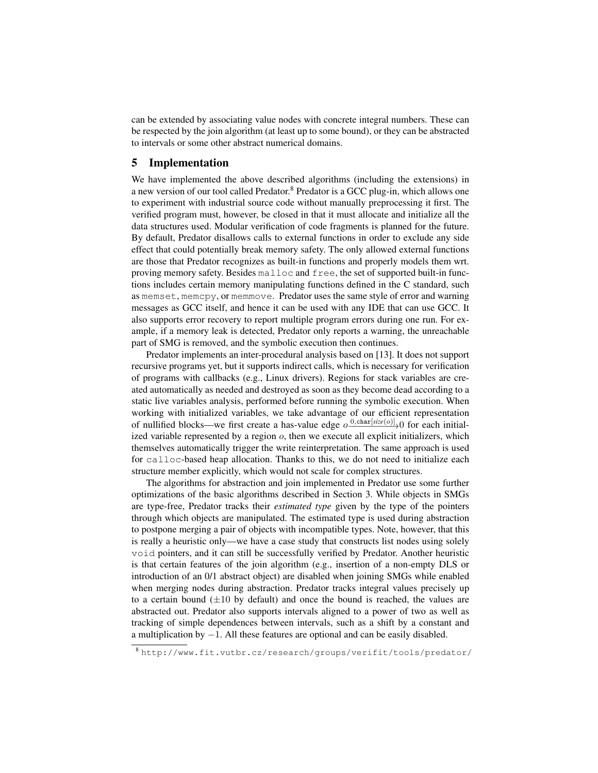can be extended by associating value nodes with concrete integral numbers. These can be respected by the join algorithm (at least up to some bound), or they can be abstracted to intervals or some other abstract numerical domains.

## 5 Implementation

We have implemented the above described algorithms (including the extensions) in a new version of our tool called Predator.<sup>8</sup> Predator is a GCC plug-in, which allows one to experiment with industrial source code without manually preprocessing it first. The verified program must, however, be closed in that it must allocate and initialize all the data structures used. Modular verification of code fragments is planned for the future. By default, Predator disallows calls to external functions in order to exclude any side effect that could potentially break memory safety. The only allowed external functions are those that Predator recognizes as built-in functions and properly models them wrt. proving memory safety. Besides malloc and free, the set of supported built-in functions includes certain memory manipulating functions defined in the C standard, such as memset, memcpy, or memmove. Predator uses the same style of error and warning messages as GCC itself, and hence it can be used with any IDE that can use GCC. It also supports error recovery to report multiple program errors during one run. For example, if a memory leak is detected, Predator only reports a warning, the unreachable part of SMG is removed, and the symbolic execution then continues.

Predator implements an inter-procedural analysis based on [13]. It does not support recursive programs yet, but it supports indirect calls, which is necessary for verification of programs with callbacks (e.g., Linux drivers). Regions for stack variables are created automatically as needed and destroyed as soon as they become dead according to a static live variables analysis, performed before running the symbolic execution. When working with initialized variables, we take advantage of our efficient representation of nullified blocks—we first create a has-value edge  $o \frac{0, \text{char}[size(o)]}{\rightarrow}0$  for each initialized variable represented by a region  $o$ , then we execute all explicit initializers, which themselves automatically trigger the write reinterpretation. The same approach is used for calloc-based heap allocation. Thanks to this, we do not need to initialize each structure member explicitly, which would not scale for complex structures.

The algorithms for abstraction and join implemented in Predator use some further optimizations of the basic algorithms described in Section 3. While objects in SMGs are type-free, Predator tracks their *estimated type* given by the type of the pointers through which objects are manipulated. The estimated type is used during abstraction to postpone merging a pair of objects with incompatible types. Note, however, that this is really a heuristic only—we have a case study that constructs list nodes using solely void pointers, and it can still be successfully verified by Predator. Another heuristic is that certain features of the join algorithm (e.g., insertion of a non-empty DLS or introduction of an 0/1 abstract object) are disabled when joining SMGs while enabled when merging nodes during abstraction. Predator tracks integral values precisely up to a certain bound  $(\pm 10 \text{ by default})$  and once the bound is reached, the values are abstracted out. Predator also supports intervals aligned to a power of two as well as tracking of simple dependences between intervals, such as a shift by a constant and a multiplication by −1. All these features are optional and can be easily disabled.

<sup>8</sup> http://www.fit.vutbr.cz/research/groups/verifit/tools/predator/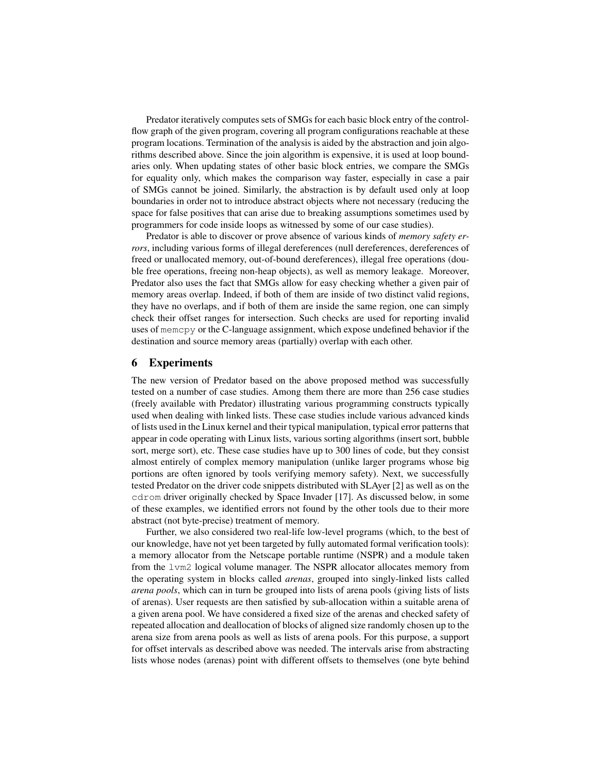Predator iteratively computes sets of SMGs for each basic block entry of the controlflow graph of the given program, covering all program configurations reachable at these program locations. Termination of the analysis is aided by the abstraction and join algorithms described above. Since the join algorithm is expensive, it is used at loop boundaries only. When updating states of other basic block entries, we compare the SMGs for equality only, which makes the comparison way faster, especially in case a pair of SMGs cannot be joined. Similarly, the abstraction is by default used only at loop boundaries in order not to introduce abstract objects where not necessary (reducing the space for false positives that can arise due to breaking assumptions sometimes used by programmers for code inside loops as witnessed by some of our case studies).

Predator is able to discover or prove absence of various kinds of *memory safety errors*, including various forms of illegal dereferences (null dereferences, dereferences of freed or unallocated memory, out-of-bound dereferences), illegal free operations (double free operations, freeing non-heap objects), as well as memory leakage. Moreover, Predator also uses the fact that SMGs allow for easy checking whether a given pair of memory areas overlap. Indeed, if both of them are inside of two distinct valid regions, they have no overlaps, and if both of them are inside the same region, one can simply check their offset ranges for intersection. Such checks are used for reporting invalid uses of memcpy or the C-language assignment, which expose undefined behavior if the destination and source memory areas (partially) overlap with each other.

## 6 Experiments

The new version of Predator based on the above proposed method was successfully tested on a number of case studies. Among them there are more than 256 case studies (freely available with Predator) illustrating various programming constructs typically used when dealing with linked lists. These case studies include various advanced kinds of lists used in the Linux kernel and their typical manipulation, typical error patterns that appear in code operating with Linux lists, various sorting algorithms (insert sort, bubble sort, merge sort), etc. These case studies have up to 300 lines of code, but they consist almost entirely of complex memory manipulation (unlike larger programs whose big portions are often ignored by tools verifying memory safety). Next, we successfully tested Predator on the driver code snippets distributed with SLAyer [2] as well as on the cdrom driver originally checked by Space Invader [17]. As discussed below, in some of these examples, we identified errors not found by the other tools due to their more abstract (not byte-precise) treatment of memory.

Further, we also considered two real-life low-level programs (which, to the best of our knowledge, have not yet been targeted by fully automated formal verification tools): a memory allocator from the Netscape portable runtime (NSPR) and a module taken from the lvm2 logical volume manager. The NSPR allocator allocates memory from the operating system in blocks called *arenas*, grouped into singly-linked lists called *arena pools*, which can in turn be grouped into lists of arena pools (giving lists of lists of arenas). User requests are then satisfied by sub-allocation within a suitable arena of a given arena pool. We have considered a fixed size of the arenas and checked safety of repeated allocation and deallocation of blocks of aligned size randomly chosen up to the arena size from arena pools as well as lists of arena pools. For this purpose, a support for offset intervals as described above was needed. The intervals arise from abstracting lists whose nodes (arenas) point with different offsets to themselves (one byte behind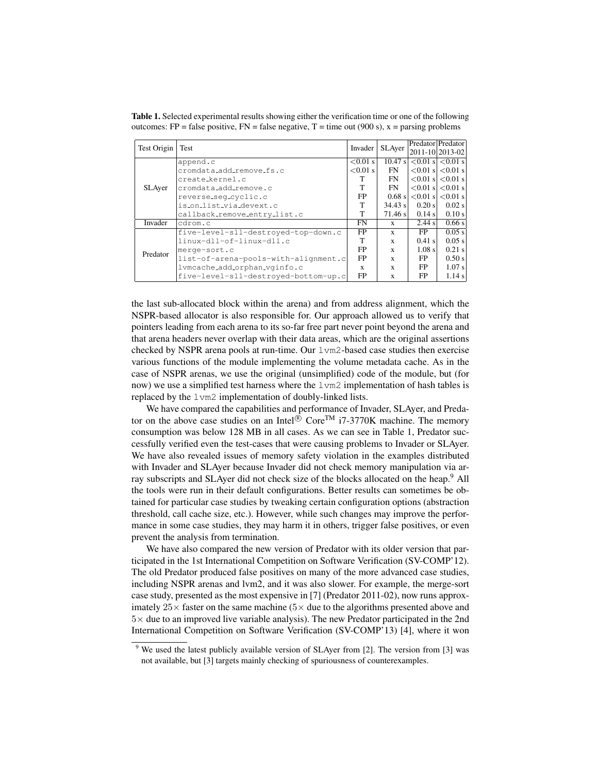| Test Origin   | <b>Test</b>                          | Invader             | SLAyer       | Predator Predator |                                                   |
|---------------|--------------------------------------|---------------------|--------------|-------------------|---------------------------------------------------|
|               |                                      |                     |              | 2011-10 2013-02   |                                                   |
| <b>SLAyer</b> | append.c                             | $\overline{0.01}$ s | 10.47 s      |                   | $\leq 0.01$ s $\leq 0.01$ s                       |
|               | cromdata_add_remove_fs.c             | $< 0.01$ s          | <b>FN</b>    |                   | $< 0.01$ s $ < 0.01$ s                            |
|               | create_kernel.c                      |                     | <b>FN</b>    |                   | $< 0.01$ s $ < 0.01$ s                            |
|               | cromdata_add_remove.c                | т                   | <b>FN</b>    |                   | $< 0.01$ s $ < 0.01$ s                            |
|               | reverse_seq_cyclic.c                 | <b>FP</b>           | $0.68$ s     |                   | $\langle 0.01 \text{ s}   0.01 \text{ s} \rangle$ |
|               | is_on_list_via_devext.c              | т                   | $34.43$ s    | $0.20$ s          | 0.02 s                                            |
|               | callback_remove_entry_list.c         | T                   | 71.46 s      | 0.14 s            | 0.10 s                                            |
| Invader       | cdrom.c                              | <b>FN</b>           | X            | 2.44 s            | 0.66 s                                            |
| Predator      | five-level-sll-destroved-top-down.c  | FP                  | X            | FP                | 0.05 s                                            |
|               | linux-dll-of-linux-dll.c             | т                   | X            | $0.41$ s          | $0.05$ s                                          |
|               | merge-sort.c                         | <b>FP</b>           | X            | $1.08$ s          | $0.21$ s                                          |
|               | list-of-arena-pools-with-alignment.c | FP                  | $\mathbf{x}$ | FP                | 0.50 s                                            |
|               | lvmcache_add_orphan_vginfo.c         | X                   | X            | FP                | 1.07 s                                            |
|               | five-level-sll-destroyed-bottom-up.c | FP                  | X            | FP                | 1.14 s                                            |

Table 1. Selected experimental results showing either the verification time or one of the following outcomes:  $FP = false$  positive,  $FN = false$  negative,  $T = time$  out (900 s),  $x =$  parsing problems

the last sub-allocated block within the arena) and from address alignment, which the NSPR-based allocator is also responsible for. Our approach allowed us to verify that pointers leading from each arena to its so-far free part never point beyond the arena and that arena headers never overlap with their data areas, which are the original assertions checked by NSPR arena pools at run-time. Our lvm2-based case studies then exercise various functions of the module implementing the volume metadata cache. As in the case of NSPR arenas, we use the original (unsimplified) code of the module, but (for now) we use a simplified test harness where the  $1vm2$  implementation of hash tables is replaced by the lvm2 implementation of doubly-linked lists.

We have compared the capabilities and performance of Invader, SLAyer, and Predator on the above case studies on an Intel<sup>®</sup> Core<sup>TM</sup> i7-3770K machine. The memory consumption was below 128 MB in all cases. As we can see in Table 1, Predator successfully verified even the test-cases that were causing problems to Invader or SLAyer. We have also revealed issues of memory safety violation in the examples distributed with Invader and SLAyer because Invader did not check memory manipulation via array subscripts and SLAyer did not check size of the blocks allocated on the heap.<sup>9</sup> All the tools were run in their default configurations. Better results can sometimes be obtained for particular case studies by tweaking certain configuration options (abstraction threshold, call cache size, etc.). However, while such changes may improve the performance in some case studies, they may harm it in others, trigger false positives, or even prevent the analysis from termination.

We have also compared the new version of Predator with its older version that participated in the 1st International Competition on Software Verification (SV-COMP'12). The old Predator produced false positives on many of the more advanced case studies, including NSPR arenas and lvm2, and it was also slower. For example, the merge-sort case study, presented as the most expensive in [7] (Predator 2011-02), now runs approximately  $25\times$  faster on the same machine ( $5\times$  due to the algorithms presented above and  $5\times$  due to an improved live variable analysis). The new Predator participated in the 2nd International Competition on Software Verification (SV-COMP'13) [4], where it won

<sup>&</sup>lt;sup>9</sup> We used the latest publicly available version of SLAyer from [2]. The version from [3] was not available, but [3] targets mainly checking of spuriousness of counterexamples.